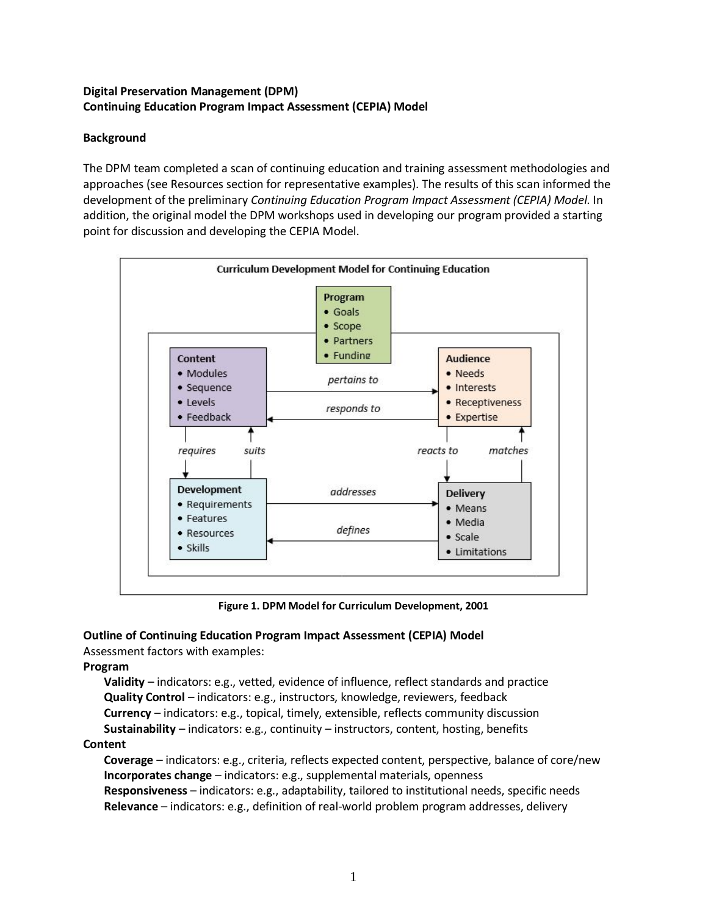## **Digital Preservation Management (DPM) Continuing Education Program Impact Assessment (CEPIA) Model**

# **Background**

The DPM team completed a scan of continuing education and training assessment methodologies and approaches (see Resources section for representative examples). The results of this scan informed the development of the preliminary *Continuing Education Program Impact Assessment (CEPIA) Model*. In addition, the original model the DPM workshops used in developing our program provided a starting point for discussion and developing the CEPIA Model.



**Figure 1. DPM Model for Curriculum Development, 2001**

## **Outline of Continuing Education Program Impact Assessment (CEPIA) Model**

Assessment factors with examples:

## **Program**

**Validity** – indicators: e.g., vetted, evidence of influence, reflect standards and practice **Quality Control** – indicators: e.g., instructors, knowledge, reviewers, feedback **Currency** – indicators: e.g., topical, timely, extensible, reflects community discussion

**Sustainability** – indicators: e.g., continuity – instructors, content, hosting, benefits **Content** 

**Coverage** – indicators: e.g., criteria, reflects expected content, perspective, balance of core/new **Incorporates change** – indicators: e.g., supplemental materials, openness **Responsiveness** – indicators: e.g., adaptability, tailored to institutional needs, specific needs **Relevance** – indicators: e.g., definition of real-world problem program addresses, delivery